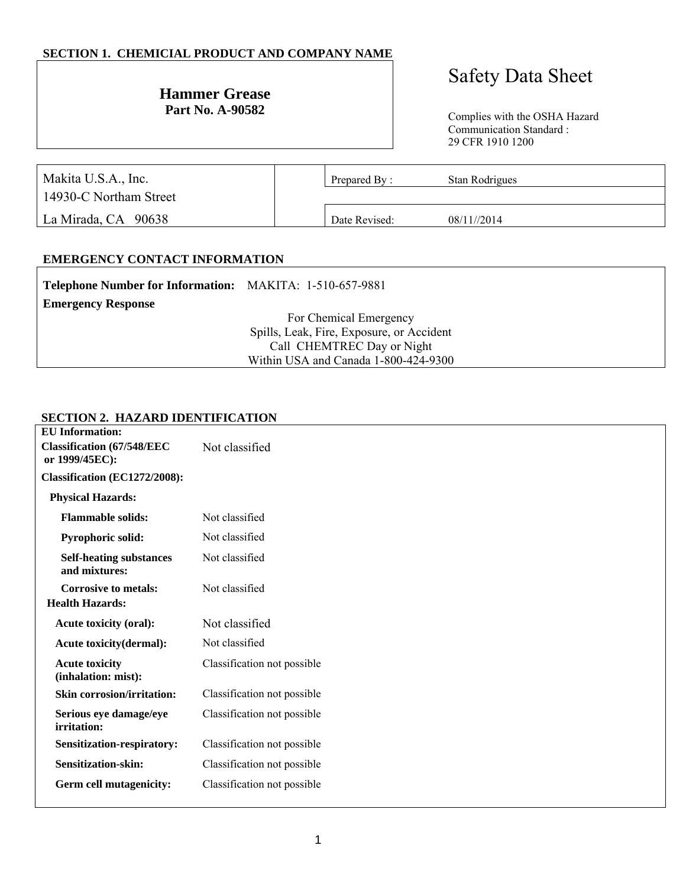# **SECTION 1. CHEMICIAL PRODUCT AND COMPANY NAME**

# **Hammer Grease**<br>Part No. A-90582

# Safety Data Sheet

Complies with the OSHA Hazard Communication Standard : 29 CFR 1910 1200

| Makita U.S.A., Inc.    | Prepared By:  | Stan Rodrigues |  |
|------------------------|---------------|----------------|--|
| 14930-C Northam Street |               |                |  |
| La Mirada, CA 90638    | Date Revised: | 08/11//2014    |  |

# **EMERGENCY CONTACT INFORMATION**

| Telephone Number for Information: MAKITA: 1-510-657-9881 |                                           |
|----------------------------------------------------------|-------------------------------------------|
| <b>Emergency Response</b>                                |                                           |
|                                                          | For Chemical Emergency                    |
|                                                          | Spills, Leak, Fire, Exposure, or Accident |
|                                                          | Call CHEMTREC Day or Night                |
|                                                          | Within USA and Canada 1-800-424-9300      |

#### **SECTION 2. HAZARD IDENTIFICATION**

| <b>EU</b> Information:                                |                             |
|-------------------------------------------------------|-----------------------------|
| <b>Classification (67/548/EEC)</b><br>or 1999/45EC):  | Not classified              |
| Classification (EC1272/2008):                         |                             |
| <b>Physical Hazards:</b>                              |                             |
| <b>Flammable solids:</b>                              | Not classified              |
| <b>Pyrophoric solid:</b>                              | Not classified              |
| <b>Self-heating substances</b><br>and mixtures:       | Not classified              |
| <b>Corrosive to metals:</b><br><b>Health Hazards:</b> | Not classified              |
| Acute toxicity (oral):                                | Not classified              |
| Acute toxicity(dermal):                               | Not classified              |
| <b>Acute toxicity</b><br>(inhalation: mist):          | Classification not possible |
| <b>Skin corrosion/irritation:</b>                     | Classification not possible |
| Serious eye damage/eye<br>irritation:                 | Classification not possible |
| Sensitization-respiratory:                            | Classification not possible |
| Sensitization-skin:                                   | Classification not possible |
| Germ cell mutagenicity:                               | Classification not possible |
|                                                       |                             |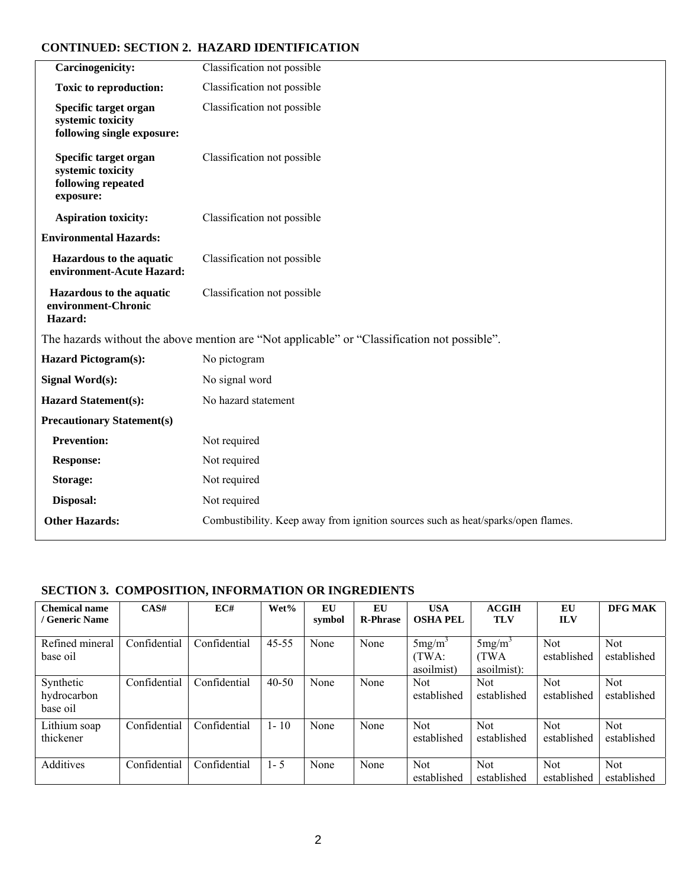# **CONTINUED: SECTION 2. HAZARD IDENTIFICATION**

| <b>Carcinogenicity:</b>                                                       | Classification not possible                                                                  |
|-------------------------------------------------------------------------------|----------------------------------------------------------------------------------------------|
| <b>Toxic to reproduction:</b>                                                 | Classification not possible                                                                  |
| Specific target organ<br>systemic toxicity<br>following single exposure:      | Classification not possible                                                                  |
| Specific target organ<br>systemic toxicity<br>following repeated<br>exposure: | Classification not possible                                                                  |
| <b>Aspiration toxicity:</b>                                                   | Classification not possible                                                                  |
| <b>Environmental Hazards:</b>                                                 |                                                                                              |
| <b>Hazardous to the aquatic</b><br>environment-Acute Hazard:                  | Classification not possible                                                                  |
| Hazardous to the aquatic<br>environment-Chronic<br>Hazard:                    | Classification not possible                                                                  |
|                                                                               | The hazards without the above mention are "Not applicable" or "Classification not possible". |
| <b>Hazard Pictogram(s):</b>                                                   | No pictogram                                                                                 |
| <b>Signal Word(s):</b>                                                        | No signal word                                                                               |
| <b>Hazard Statement(s):</b>                                                   | No hazard statement                                                                          |
| <b>Precautionary Statement(s)</b>                                             |                                                                                              |
| <b>Prevention:</b>                                                            | Not required                                                                                 |
| <b>Response:</b>                                                              | Not required                                                                                 |
| <b>Storage:</b>                                                               | Not required                                                                                 |
| Disposal:                                                                     | Not required                                                                                 |
| <b>Other Hazards:</b>                                                         | Combustibility. Keep away from ignition sources such as heat/sparks/open flames.             |

# **SECTION 3. COMPOSITION, INFORMATION OR INGREDIENTS**

| <b>Chemical name</b><br>/ Generic Name | CAS#         | EC#          | Wet%      | EU<br>symbol | EU<br><b>R-Phrase</b> | <b>USA</b><br><b>OSHA PEL</b>             | <b>ACGIH</b><br><b>TLV</b>                      | EU<br><b>ILV</b>          | DFG MAK                   |
|----------------------------------------|--------------|--------------|-----------|--------------|-----------------------|-------------------------------------------|-------------------------------------------------|---------------------------|---------------------------|
| Refined mineral<br>base oil            | Confidential | Confidential | $45 - 55$ | None         | None                  | 5mg/m <sup>3</sup><br>(TWA:<br>asoilmist) | 5mg/m <sup>3</sup><br><b>TWA</b><br>asoilmist): | <b>Not</b><br>established | <b>Not</b><br>established |
| Synthetic<br>hydrocarbon<br>base oil   | Confidential | Confidential | $40 - 50$ | None         | None                  | Not<br>established                        | <b>Not</b><br>established                       | Not.<br>established       | <b>Not</b><br>established |
| Lithium soap<br>thickener              | Confidential | Confidential | $1 - 10$  | None         | None                  | Not<br>established                        | Not<br>established                              | Not.<br>established       | <b>Not</b><br>established |
| Additives                              | Confidential | Confidential | $1 - 5$   | None         | None                  | Not<br>established                        | Not<br>established                              | Not.<br>established       | <b>Not</b><br>established |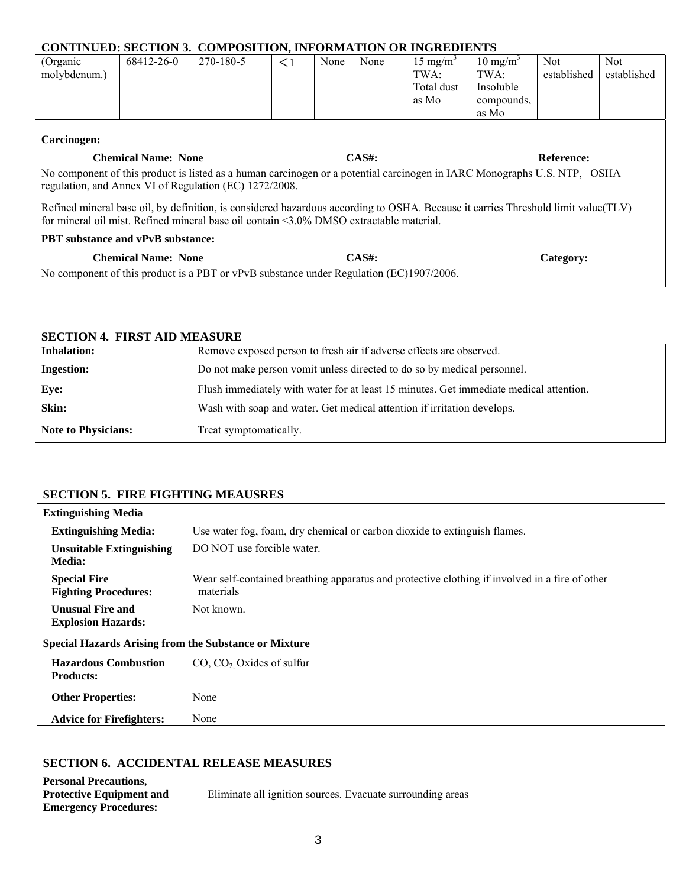|                                                                                                                                                                                                                                                                  | <b>CONTINUED: SECTION 3. COMPOSITION, INFORMATION OR INGREDIENTS</b> |           |          |      |      |                     |                     |             |             |
|------------------------------------------------------------------------------------------------------------------------------------------------------------------------------------------------------------------------------------------------------------------|----------------------------------------------------------------------|-----------|----------|------|------|---------------------|---------------------|-------------|-------------|
| (Organic                                                                                                                                                                                                                                                         | 68412-26-0                                                           | 270-180-5 | $\leq$ 1 | None | None | $15 \text{ mg/m}^3$ | $10 \text{ mg/m}^3$ | Not.        | Not.        |
| molybdenum.)                                                                                                                                                                                                                                                     |                                                                      |           |          |      |      | TWA:                | TWA:                | established | established |
|                                                                                                                                                                                                                                                                  |                                                                      |           |          |      |      | Total dust          | Insoluble           |             |             |
|                                                                                                                                                                                                                                                                  |                                                                      |           |          |      |      | as Mo               | compounds,          |             |             |
|                                                                                                                                                                                                                                                                  |                                                                      |           |          |      |      |                     | as Mo               |             |             |
| Carcinogen:<br>$CAS#$ :<br><b>Chemical Name: None</b><br><b>Reference:</b><br>No component of this product is listed as a human carcinogen or a potential carcinogen in IARC Monographs U.S. NTP, OSHA<br>regulation, and Annex VI of Regulation (EC) 1272/2008. |                                                                      |           |          |      |      |                     |                     |             |             |
| Refined mineral base oil, by definition, is considered hazardous according to OSHA. Because it carries Threshold limit value(TLV)<br>for mineral oil mist. Refined mineral base oil contain $\leq 3.0\%$ DMSO extractable material.                              |                                                                      |           |          |      |      |                     |                     |             |             |
| <b>PBT</b> substance and vPvB substance:                                                                                                                                                                                                                         |                                                                      |           |          |      |      |                     |                     |             |             |
| <b>Chemical Name: None</b><br>$CAS#$ :<br>Category:<br>No component of this product is a PBT or vPvB substance under Regulation (EC)1907/2006.                                                                                                                   |                                                                      |           |          |      |      |                     |                     |             |             |

# **SECTION 4. FIRST AID MEASURE**

| <b>Inhalation:</b>         | Remove exposed person to fresh air if adverse effects are observed.                    |
|----------------------------|----------------------------------------------------------------------------------------|
| <b>Ingestion:</b>          | Do not make person vomit unless directed to do so by medical personnel.                |
| Eye:                       | Flush immediately with water for at least 15 minutes. Get immediate medical attention. |
| Skin:                      | Wash with soap and water. Get medical attention if irritation develops.                |
| <b>Note to Physicians:</b> | Treat symptomatically.                                                                 |

# **SECTION 5. FIRE FIGHTING MEAUSRES**

| <b>Extinguishing Media</b>                                   |                                                                                                             |
|--------------------------------------------------------------|-------------------------------------------------------------------------------------------------------------|
| <b>Extinguishing Media:</b>                                  | Use water fog, foam, dry chemical or carbon dioxide to extinguish flames.                                   |
| <b>Unsuitable Extinguishing</b><br>Media:                    | DO NOT use forcible water.                                                                                  |
| <b>Special Fire</b><br><b>Fighting Procedures:</b>           | Wear self-contained breathing apparatus and protective clothing if involved in a fire of other<br>materials |
| <b>Unusual Fire and</b><br><b>Explosion Hazards:</b>         | Not known.                                                                                                  |
| <b>Special Hazards Arising from the Substance or Mixture</b> |                                                                                                             |
| <b>Hazardous Combustion</b><br><b>Products:</b>              | $CO$ , $CO2$ Oxides of sulfur                                                                               |
| <b>Other Properties:</b>                                     | None                                                                                                        |
| <b>Advice for Firefighters:</b>                              | None                                                                                                        |

# **SECTION 6. ACCIDENTAL RELEASE MEASURES**

| <b>Personal Precautions,</b>    |                                                            |
|---------------------------------|------------------------------------------------------------|
| <b>Protective Equipment and</b> | Eliminate all ignition sources. Evacuate surrounding areas |
| <b>Emergency Procedures:</b>    |                                                            |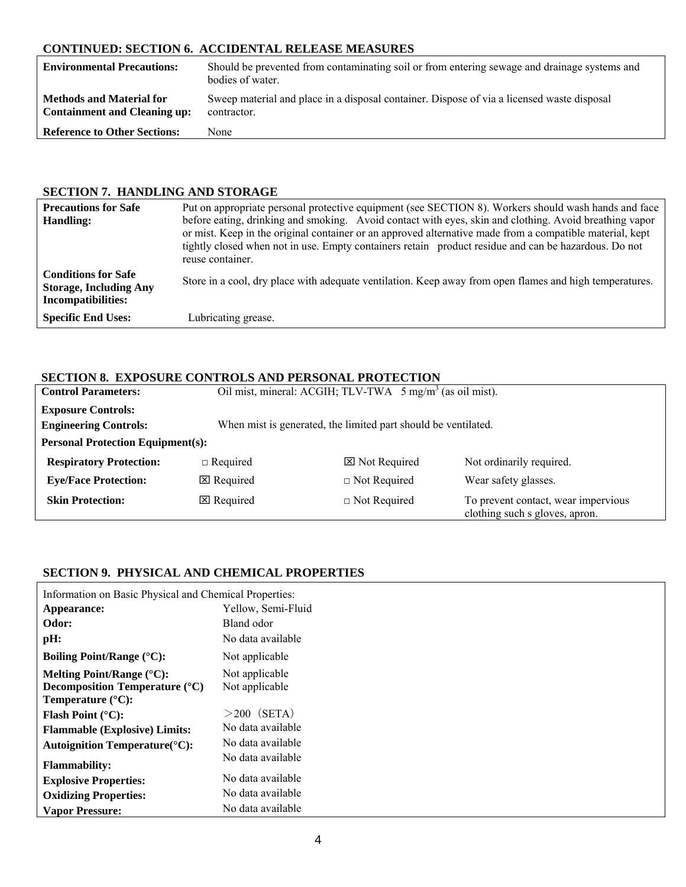# **CONTINUED: SECTION 6. ACCIDENTAL RELEASE MEASURES**

| <b>Environmental Precautions:</b>                                      | Should be prevented from contaminating soil or from entering sewage and drainage systems and<br>bodies of water. |
|------------------------------------------------------------------------|------------------------------------------------------------------------------------------------------------------|
| <b>Methods and Material for</b><br><b>Containment and Cleaning up:</b> | Sweep material and place in a disposal container. Dispose of via a licensed waste disposal<br>contractor.        |
| <b>Reference to Other Sections:</b>                                    | None                                                                                                             |

# **SECTION 7. HANDLING AND STORAGE**

| <b>Precautions for Safe</b><br>Handling:                                                 | Put on appropriate personal protective equipment (see SECTION 8). Workers should wash hands and face<br>before eating, drinking and smoking. Avoid contact with eyes, skin and clothing. Avoid breathing vapor<br>or mist. Keep in the original container or an approved alternative made from a compatible material, kept<br>tightly closed when not in use. Empty containers retain product residue and can be hazardous. Do not<br>reuse container. |
|------------------------------------------------------------------------------------------|--------------------------------------------------------------------------------------------------------------------------------------------------------------------------------------------------------------------------------------------------------------------------------------------------------------------------------------------------------------------------------------------------------------------------------------------------------|
| <b>Conditions for Safe</b><br><b>Storage, Including Any</b><br><b>Incompatibilities:</b> | Store in a cool, dry place with adequate ventilation. Keep away from open flames and high temperatures.                                                                                                                                                                                                                                                                                                                                                |
| <b>Specific End Uses:</b>                                                                | Lubricating grease.                                                                                                                                                                                                                                                                                                                                                                                                                                    |

#### **SECTION 8. EXPOSURE CONTROLS AND PERSONAL PROTECTION**

| <b>Control Parameters:</b>                                |                                                                | Oil mist, mineral: ACGIH; TLV-TWA 5 mg/m <sup>3</sup> (as oil mist). |                                                                       |  |  |  |  |  |
|-----------------------------------------------------------|----------------------------------------------------------------|----------------------------------------------------------------------|-----------------------------------------------------------------------|--|--|--|--|--|
| <b>Exposure Controls:</b><br><b>Engineering Controls:</b> | When mist is generated, the limited part should be ventilated. |                                                                      |                                                                       |  |  |  |  |  |
|                                                           | <b>Personal Protection Equipment(s):</b>                       |                                                                      |                                                                       |  |  |  |  |  |
| <b>Respiratory Protection:</b>                            | $\Box$ Required                                                | $\boxtimes$ Not Required                                             | Not ordinarily required.                                              |  |  |  |  |  |
| <b>Eye/Face Protection:</b>                               | $\boxtimes$ Required                                           | $\Box$ Not Required                                                  | Wear safety glasses.                                                  |  |  |  |  |  |
| <b>Skin Protection:</b>                                   | $\boxtimes$ Required                                           | $\Box$ Not Required                                                  | To prevent contact, wear impervious<br>clothing such s gloves, apron. |  |  |  |  |  |

# **SECTION 9. PHYSICAL AND CHEMICAL PROPERTIES**

| Information on Basic Physical and Chemical Properties:                                                               |                                  |  |
|----------------------------------------------------------------------------------------------------------------------|----------------------------------|--|
| Appearance:                                                                                                          | Yellow, Semi-Fluid               |  |
| Odor:                                                                                                                | Bland odor                       |  |
| pH:                                                                                                                  | No data available                |  |
| Boiling Point/Range $({}^{\circ}C)$ :                                                                                | Not applicable                   |  |
| Melting Point/Range $(^{\circ}C)$ :<br><b>Decomposition Temperature</b> $(^{\circ}C)$<br>Temperature $(^{\circ}C)$ : | Not applicable<br>Not applicable |  |
| <b>Flash Point (°C):</b>                                                                                             | $>200$ (SETA)                    |  |
| <b>Flammable (Explosive) Limits:</b>                                                                                 | No data available                |  |
| <b>Autoignition Temperature</b> (°C):                                                                                | No data available                |  |
| <b>Flammability:</b>                                                                                                 | No data available                |  |
| <b>Explosive Properties:</b>                                                                                         | No data available                |  |
| <b>Oxidizing Properties:</b>                                                                                         | No data available                |  |
| <b>Vapor Pressure:</b>                                                                                               | No data available                |  |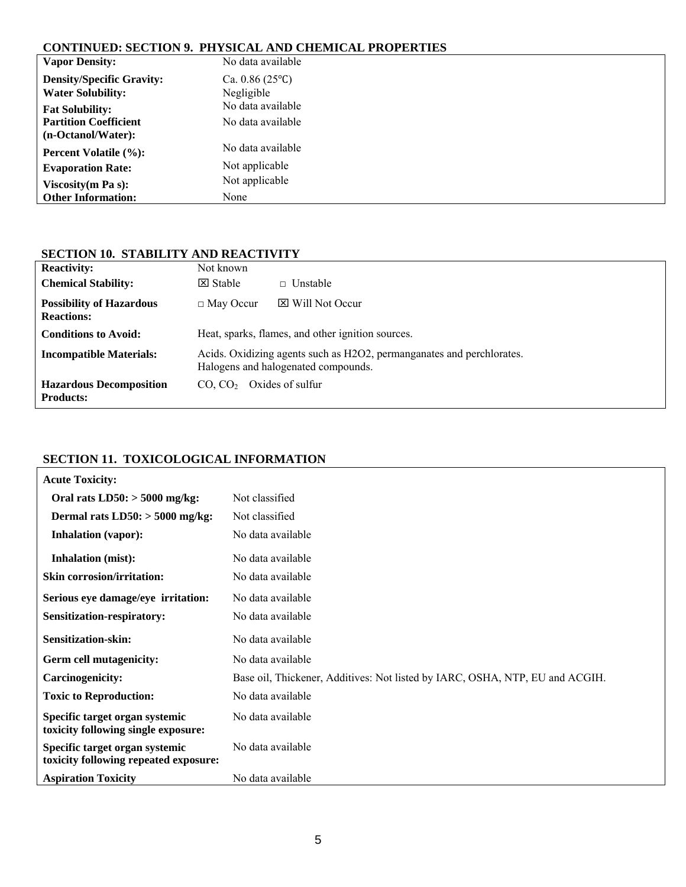# **CONTINUED: SECTION 9. PHYSICAL AND CHEMICAL PROPERTIES**

| <b>Vapor Density:</b>            | No data available       |
|----------------------------------|-------------------------|
| <b>Density/Specific Gravity:</b> | Ca. $0.86(25^{\circ}C)$ |
| <b>Water Solubility:</b>         | Negligible              |
| <b>Fat Solubility:</b>           | No data available       |
| <b>Partition Coefficient</b>     | No data available       |
| (n-Octanol/Water):               |                         |
| <b>Percent Volatile (%):</b>     | No data available       |
| <b>Evaporation Rate:</b>         | Not applicable          |
| Viscosity $(m Pa s)$ :           | Not applicable          |
| <b>Other Information:</b>        | None                    |

# **SECTION 10. STABILITY AND REACTIVITY**

| <b>Reactivity:</b>                                   | Not known                                                                                                    |                                                   |
|------------------------------------------------------|--------------------------------------------------------------------------------------------------------------|---------------------------------------------------|
| <b>Chemical Stability:</b>                           | $\boxtimes$ Stable                                                                                           | $\Box$ Unstable                                   |
| <b>Possibility of Hazardous</b><br><b>Reactions:</b> | $\Box$ May Occur                                                                                             | $\boxtimes$ Will Not Occur                        |
| <b>Conditions to Avoid:</b>                          |                                                                                                              | Heat, sparks, flames, and other ignition sources. |
| <b>Incompatible Materials:</b>                       | Acids. Oxidizing agents such as H2O2, permanganates and perchlorates.<br>Halogens and halogenated compounds. |                                                   |
| <b>Hazardous Decomposition</b><br><b>Products:</b>   | CO. CO <sub>2</sub>                                                                                          | Oxides of sulfur                                  |

# **SECTION 11. TOXICOLOGICAL INFORMATION**

| <b>Acute Toxicity:</b>                                                  |                                                                              |  |
|-------------------------------------------------------------------------|------------------------------------------------------------------------------|--|
| Oral rats $LD50$ : $> 5000$ mg/kg:                                      | Not classified                                                               |  |
| Dermal rats $LD50$ : $> 5000$ mg/kg:                                    | Not classified                                                               |  |
| <b>Inhalation (vapor):</b>                                              | No data available                                                            |  |
| <b>Inhalation</b> (mist):                                               | No data available                                                            |  |
| <b>Skin corrosion/irritation:</b>                                       | No data available                                                            |  |
| Serious eye damage/eye irritation:                                      | No data available                                                            |  |
| Sensitization-respiratory:                                              | No data available                                                            |  |
| <b>Sensitization-skin:</b>                                              | No data available                                                            |  |
|                                                                         |                                                                              |  |
| <b>Germ cell mutagenicity:</b>                                          | No data available                                                            |  |
| <b>Carcinogenicity:</b>                                                 | Base oil, Thickener, Additives: Not listed by IARC, OSHA, NTP, EU and ACGIH. |  |
| <b>Toxic to Reproduction:</b>                                           | No data available                                                            |  |
| Specific target organ systemic<br>toxicity following single exposure:   | No data available                                                            |  |
| Specific target organ systemic<br>toxicity following repeated exposure: | No data available                                                            |  |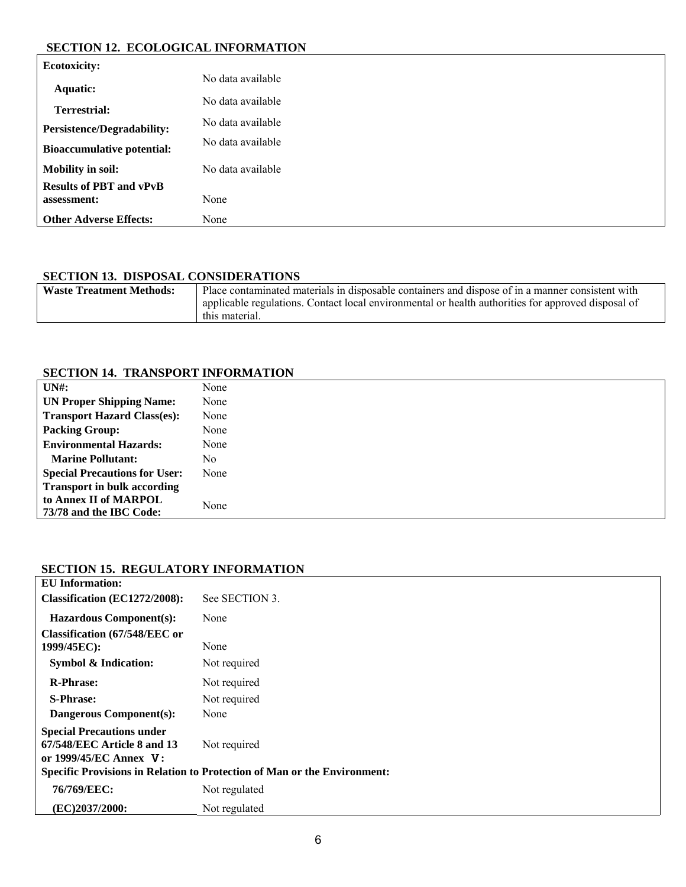#### **SECTION 12. ECOLOGICAL INFORMATION**

| <b>Ecotoxicity:</b>               |                   |
|-----------------------------------|-------------------|
| Aquatic:                          | No data available |
| <b>Terrestrial:</b>               | No data available |
|                                   | No data available |
| <b>Persistence/Degradability:</b> | No data available |
| <b>Bioaccumulative potential:</b> |                   |
| <b>Mobility in soil:</b>          | No data available |
| <b>Results of PBT and vPvB</b>    |                   |
| assessment:                       | None              |
| <b>Other Adverse Effects:</b>     | None              |

# **SECTION 13. DISPOSAL CONSIDERATIONS**

| <b>Waste Treatment Methods:</b> | Place contaminated materials in disposable containers and dispose of in a manner consistent with                     |
|---------------------------------|----------------------------------------------------------------------------------------------------------------------|
|                                 | applicable regulations. Contact local environmental or health authorities for approved disposal of<br>this material. |
|                                 |                                                                                                                      |

# **SECTION 14. TRANSPORT INFORMATION**

| UNH:                                 | None |
|--------------------------------------|------|
| <b>UN Proper Shipping Name:</b>      | None |
| <b>Transport Hazard Class(es):</b>   | None |
| <b>Packing Group:</b>                | None |
| <b>Environmental Hazards:</b>        | None |
| <b>Marine Pollutant:</b>             | No   |
| <b>Special Precautions for User:</b> | None |
| <b>Transport in bulk according</b>   |      |
| to Annex II of MARPOL                | None |
| 73/78 and the IBC Code:              |      |

#### **SECTION 15. REGULATORY INFORMATION**

| <b>EU</b> Information:                                                                    |                |
|-------------------------------------------------------------------------------------------|----------------|
| Classification (EC1272/2008):                                                             | See SECTION 3. |
| <b>Hazardous Component(s):</b>                                                            | None           |
| <b>Classification (67/548/EEC or</b><br>1999/45EC):                                       | None           |
| <b>Symbol &amp; Indication:</b>                                                           | Not required   |
| <b>R-Phrase:</b>                                                                          | Not required   |
| <b>S-Phrase:</b>                                                                          | Not required   |
| <b>Dangerous Component(s):</b>                                                            | None           |
| <b>Special Precautions under</b><br>67/548/EEC Article 8 and 13<br>or 1999/45/EC Annex V: | Not required   |
| Specific Provisions in Relation to Protection of Man or the Environment:                  |                |
| 76/769/EEC:                                                                               | Not regulated  |
| (EC)2037/2000:                                                                            | Not regulated  |